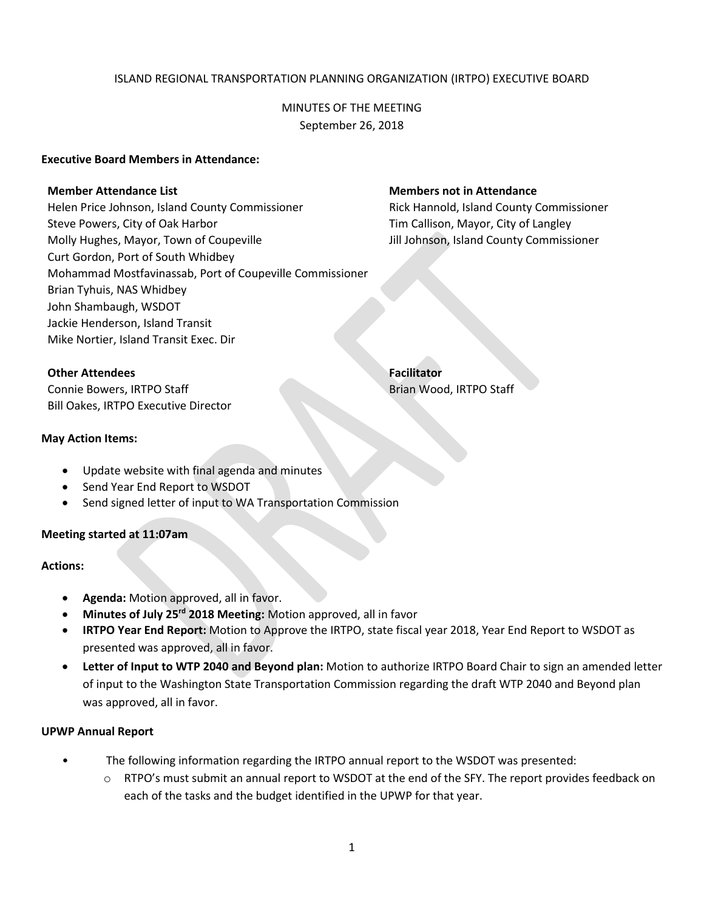### ISLAND REGIONAL TRANSPORTATION PLANNING ORGANIZATION (IRTPO) EXECUTIVE BOARD

## MINUTES OF THE MEETING September 26, 2018

#### **Executive Board Members in Attendance:**

#### **Member Attendance List Members not in Attendance**

Helen Price Johnson, Island County Commissioner Rick Hannold, Island County Commissioner Steve Powers, City of Oak Harbor The Collection of Callison, Mayor, City of Langley Molly Hughes, Mayor, Town of Coupeville **July 2006** Jill Johnson, Island County Commissioner Curt Gordon, Port of South Whidbey Mohammad Mostfavinassab, Port of Coupeville Commissioner Brian Tyhuis, NAS Whidbey John Shambaugh, WSDOT Jackie Henderson, Island Transit Mike Nortier, Island Transit Exec. Dir

**Other Attendees Facilitator** 

Connie Bowers, IRTPO Staff Brian Wood, IRTPO Staff Brian Wood, IRTPO Staff Bill Oakes, IRTPO Executive Director

#### **May Action Items:**

- Update website with final agenda and minutes
- Send Year End Report to WSDOT
- Send signed letter of input to WA Transportation Commission

#### **Meeting started at 11:07am**

#### **Actions:**

- **Agenda:** Motion approved, all in favor.
- **Minutes of July 25rd 2018 Meeting:** Motion approved, all in favor
- **IRTPO Year End Report:** Motion to Approve the IRTPO, state fiscal year 2018, Year End Report to WSDOT as presented was approved, all in favor.
- **Letter of Input to WTP 2040 and Beyond plan:** Motion to authorize IRTPO Board Chair to sign an amended letter of input to the Washington State Transportation Commission regarding the draft WTP 2040 and Beyond plan was approved, all in favor.

#### **UPWP Annual Report**

- The following information regarding the IRTPO annual report to the WSDOT was presented:
	- $\circ$  RTPO's must submit an annual report to WSDOT at the end of the SFY. The report provides feedback on each of the tasks and the budget identified in the UPWP for that year.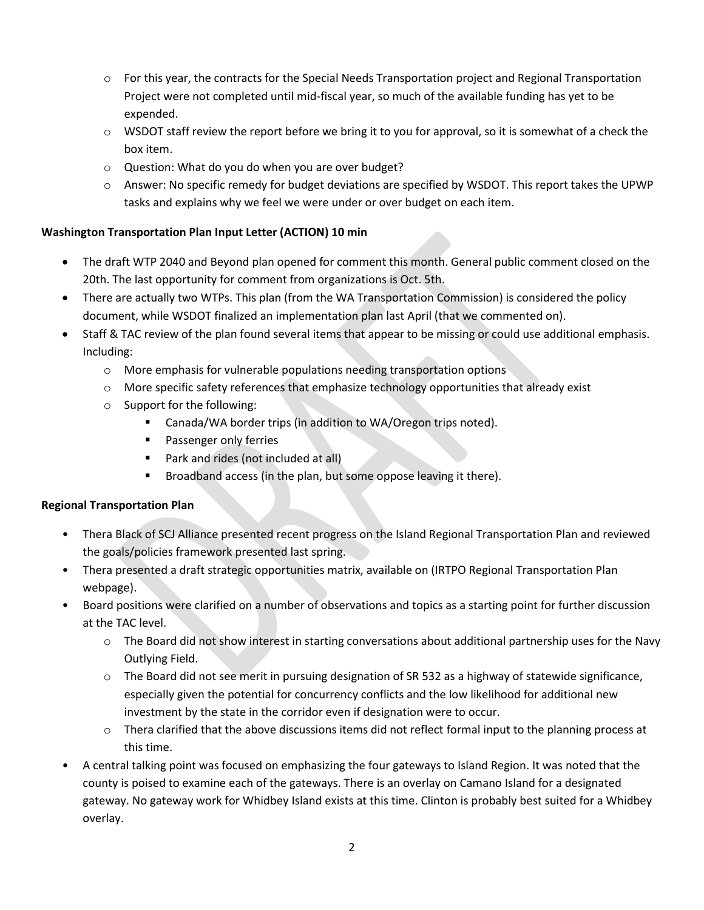- $\circ$  For this year, the contracts for the Special Needs Transportation project and Regional Transportation Project were not completed until mid-fiscal year, so much of the available funding has yet to be expended.
- $\circ$  WSDOT staff review the report before we bring it to you for approval, so it is somewhat of a check the box item.
- o Question: What do you do when you are over budget?
- $\circ$  Answer: No specific remedy for budget deviations are specified by WSDOT. This report takes the UPWP tasks and explains why we feel we were under or over budget on each item.

# **Washington Transportation Plan Input Letter (ACTION) 10 min**

- The draft WTP 2040 and Beyond plan opened for comment this month. General public comment closed on the 20th. The last opportunity for comment from organizations is Oct. 5th.
- There are actually two WTPs. This plan (from the WA Transportation Commission) is considered the policy document, while WSDOT finalized an implementation plan last April (that we commented on).
- Staff & TAC review of the plan found several items that appear to be missing or could use additional emphasis. Including:
	- $\circ$  More emphasis for vulnerable populations needing transportation options
	- $\circ$  More specific safety references that emphasize technology opportunities that already exist
	- o Support for the following:
		- Canada/WA border trips (in addition to WA/Oregon trips noted).
		- **Passenger only ferries**
		- Park and rides (not included at all)
		- **Broadband access (in the plan, but some oppose leaving it there).**

## **Regional Transportation Plan**

- Thera Black of SCJ Alliance presented recent progress on the Island Regional Transportation Plan and reviewed the goals/policies framework presented last spring.
- Thera presented a draft strategic opportunities matrix, available on (IRTPO Regional Transportation Plan webpage).
- Board positions were clarified on a number of observations and topics as a starting point for further discussion at the TAC level.
	- $\circ$  The Board did not show interest in starting conversations about additional partnership uses for the Navy Outlying Field.
	- o The Board did not see merit in pursuing designation of SR 532 as a highway of statewide significance, especially given the potential for concurrency conflicts and the low likelihood for additional new investment by the state in the corridor even if designation were to occur.
	- $\circ$  Thera clarified that the above discussions items did not reflect formal input to the planning process at this time.
- A central talking point was focused on emphasizing the four gateways to Island Region. It was noted that the county is poised to examine each of the gateways. There is an overlay on Camano Island for a designated gateway. No gateway work for Whidbey Island exists at this time. Clinton is probably best suited for a Whidbey overlay.